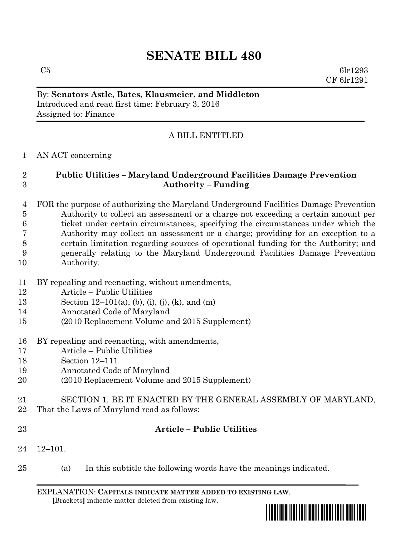# **SENATE BILL 480**

 $C5$  6lr1293 CF 6lr1291

## By: **Senators Astle, Bates, Klausmeier, and Middleton** Introduced and read first time: February 3, 2016 Assigned to: Finance

# A BILL ENTITLED

### AN ACT concerning

# **Public Utilities – Maryland Underground Facilities Damage Prevention Authority – Funding**

 FOR the purpose of authorizing the Maryland Underground Facilities Damage Prevention Authority to collect an assessment or a charge not exceeding a certain amount per ticket under certain circumstances; specifying the circumstances under which the Authority may collect an assessment or a charge; providing for an exception to a certain limitation regarding sources of operational funding for the Authority; and generally relating to the Maryland Underground Facilities Damage Prevention Authority.

- BY repealing and reenacting, without amendments,
- Article Public Utilities
- Section 12–101(a), (b), (i), (j), (k), and (m)
- Annotated Code of Maryland
- (2010 Replacement Volume and 2015 Supplement)
- BY repealing and reenacting, with amendments,
- Article Public Utilities
- Section 12–111
- Annotated Code of Maryland
- (2010 Replacement Volume and 2015 Supplement)
- SECTION 1. BE IT ENACTED BY THE GENERAL ASSEMBLY OF MARYLAND,
- That the Laws of Maryland read as follows:
- 

# **Article – Public Utilities**

- 12–101.
- (a) In this subtitle the following words have the meanings indicated.

EXPLANATION: **CAPITALS INDICATE MATTER ADDED TO EXISTING LAW**.  **[**Brackets**]** indicate matter deleted from existing law.

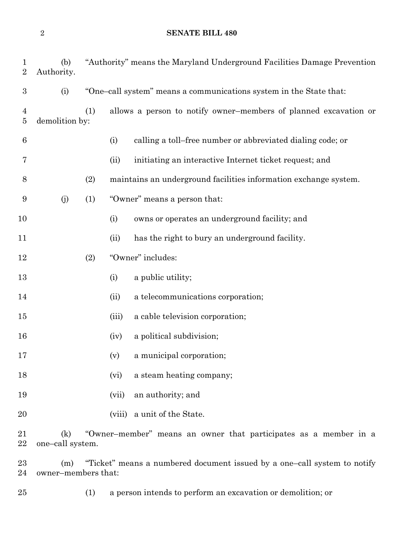**SENATE BILL 480**

| $\mathbf 1$<br>$\sqrt{2}$        | (b)<br>Authority.                                                                                      |                                                                    |                              | "Authority" means the Maryland Underground Facilities Damage Prevention |
|----------------------------------|--------------------------------------------------------------------------------------------------------|--------------------------------------------------------------------|------------------------------|-------------------------------------------------------------------------|
| $\boldsymbol{3}$                 | (i)                                                                                                    | "One-call system" means a communications system in the State that: |                              |                                                                         |
| $\overline{4}$<br>$\overline{5}$ | demolition by:                                                                                         | (1)                                                                |                              | allows a person to notify owner-members of planned excavation or        |
| $6\phantom{.}6$                  |                                                                                                        |                                                                    | (i)                          | calling a toll-free number or abbreviated dialing code; or              |
| 7                                |                                                                                                        |                                                                    | (ii)                         | initiating an interactive Internet ticket request; and                  |
| 8                                |                                                                                                        | (2)                                                                |                              | maintains an underground facilities information exchange system.        |
| 9                                | (j)                                                                                                    | (1)                                                                | "Owner" means a person that: |                                                                         |
| 10                               |                                                                                                        |                                                                    | (i)                          | owns or operates an underground facility; and                           |
| 11                               |                                                                                                        |                                                                    | (ii)                         | has the right to bury an underground facility.                          |
| 12                               |                                                                                                        | (2)                                                                |                              | "Owner" includes:                                                       |
| 13                               |                                                                                                        |                                                                    | (i)                          | a public utility;                                                       |
| 14                               |                                                                                                        |                                                                    | (ii)                         | a telecommunications corporation;                                       |
| 15                               |                                                                                                        |                                                                    | (iii)                        | a cable television corporation;                                         |
| 16                               |                                                                                                        |                                                                    | (iv)                         | a political subdivision;                                                |
| 17                               |                                                                                                        |                                                                    | (v)                          | a municipal corporation;                                                |
| 18                               |                                                                                                        |                                                                    | (vi)                         | a steam heating company;                                                |
| 19                               |                                                                                                        |                                                                    | (vii)                        | an authority; and                                                       |
| 20                               |                                                                                                        |                                                                    | (viii)                       | a unit of the State.                                                    |
| 21<br>22                         | (k)<br>"Owner-member" means an owner that participates as a member in a<br>one-call system.            |                                                                    |                              |                                                                         |
| 23<br>24                         | "Ticket" means a numbered document issued by a one-call system to notify<br>(m)<br>owner-members that: |                                                                    |                              |                                                                         |

(1) a person intends to perform an excavation or demolition; or